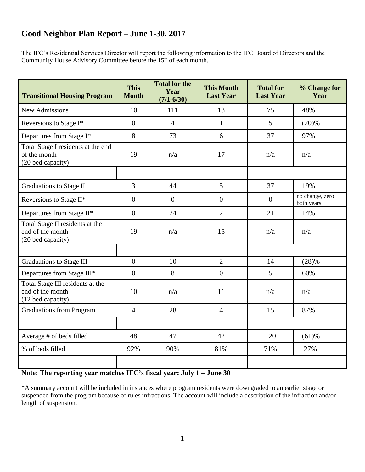The IFC's Residential Services Director will report the following information to the IFC Board of Directors and the Community House Advisory Committee before the 15<sup>th</sup> of each month.

| <b>Transitional Housing Program</b>                                       | <b>This</b><br><b>Month</b> | <b>Total for the</b><br>Year<br>$(7/1 - 6/30)$ | <b>This Month</b><br><b>Last Year</b> | <b>Total for</b><br><b>Last Year</b> | % Change for<br>Year          |
|---------------------------------------------------------------------------|-----------------------------|------------------------------------------------|---------------------------------------|--------------------------------------|-------------------------------|
| <b>New Admissions</b>                                                     | 10                          | 111                                            | 13                                    | 75                                   | 48%                           |
| Reversions to Stage I*                                                    | $\overline{0}$              | $\overline{4}$                                 | 1                                     | 5                                    | (20)%                         |
| Departures from Stage I*                                                  | 8                           | 73                                             | 6                                     | 37                                   | 97%                           |
| Total Stage I residents at the end<br>of the month<br>(20 bed capacity)   | 19                          | n/a                                            | 17                                    | n/a                                  | n/a                           |
|                                                                           |                             |                                                |                                       |                                      |                               |
| <b>Graduations to Stage II</b>                                            | $\overline{3}$              | 44                                             | 5                                     | 37                                   | 19%                           |
| Reversions to Stage II*                                                   | $\overline{0}$              | $\overline{0}$                                 | $\overline{0}$                        | $\overline{0}$                       | no change, zero<br>both years |
| Departures from Stage II*                                                 | $\overline{0}$              | 24                                             | $\overline{2}$                        | 21                                   | 14%                           |
| Total Stage II residents at the<br>end of the month<br>(20 bed capacity)  | 19                          | n/a                                            | 15                                    | n/a                                  | n/a                           |
|                                                                           |                             |                                                |                                       |                                      |                               |
| Graduations to Stage III                                                  | $\overline{0}$              | 10                                             | $\overline{2}$                        | 14                                   | (28)%                         |
| Departures from Stage III*                                                | $\overline{0}$              | 8                                              | $\overline{0}$                        | 5                                    | 60%                           |
| Total Stage III residents at the<br>end of the month<br>(12 bed capacity) | 10                          | n/a                                            | 11                                    | n/a                                  | n/a                           |
| <b>Graduations from Program</b>                                           | $\overline{4}$              | 28                                             | $\overline{4}$                        | 15                                   | 87%                           |
|                                                                           |                             |                                                |                                       |                                      |                               |
| Average # of beds filled                                                  | 48                          | 47                                             | 42                                    | 120                                  | $(61)$ %                      |
| % of beds filled                                                          | 92%                         | 90%                                            | 81%                                   | 71%                                  | 27%                           |
|                                                                           |                             |                                                |                                       |                                      |                               |

## **Note: The reporting year matches IFC's fiscal year: July 1 – June 30**

\*A summary account will be included in instances where program residents were downgraded to an earlier stage or suspended from the program because of rules infractions. The account will include a description of the infraction and/or length of suspension.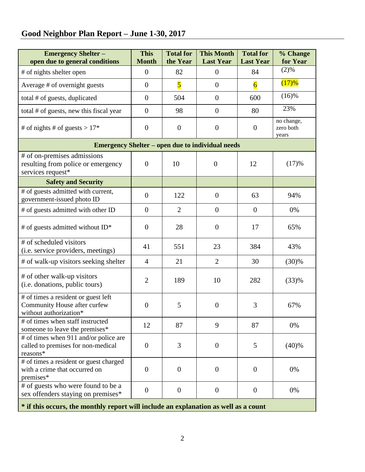# **Good Neighbor Plan Report – June 1-30, 2017**

| <b>Emergency Shelter-</b><br>open due to general conditions                                   | <b>This</b><br><b>Month</b> | <b>Total for</b><br>the Year | <b>This Month</b><br><b>Last Year</b> | <b>Total for</b><br><b>Last Year</b> | % Change<br>for Year             |  |  |  |  |
|-----------------------------------------------------------------------------------------------|-----------------------------|------------------------------|---------------------------------------|--------------------------------------|----------------------------------|--|--|--|--|
| # of nights shelter open                                                                      | $\overline{0}$              | 82                           | $\boldsymbol{0}$                      | 84                                   | (2)%                             |  |  |  |  |
| Average # of overnight guests                                                                 | $\overline{0}$              | $\overline{\mathbf{5}}$      | $\boldsymbol{0}$                      | $\overline{6}$                       | (17)%                            |  |  |  |  |
| total # of guests, duplicated                                                                 | $\overline{0}$              | 504                          | $\boldsymbol{0}$                      | 600                                  | (16)%                            |  |  |  |  |
| total # of guests, new this fiscal year                                                       | $\overline{0}$              | 98                           | $\boldsymbol{0}$                      | 80                                   | 23%                              |  |  |  |  |
| # of nights # of guests > $17*$                                                               | $\overline{0}$              | $\boldsymbol{0}$             | $\boldsymbol{0}$                      | $\boldsymbol{0}$                     | no change,<br>zero both<br>years |  |  |  |  |
| <b>Emergency Shelter – open due to individual needs</b>                                       |                             |                              |                                       |                                      |                                  |  |  |  |  |
| # of on-premises admissions<br>resulting from police or emergency<br>services request*        | $\overline{0}$              | 10                           | $\overline{0}$                        | 12                                   | (17)%                            |  |  |  |  |
| <b>Safety and Security</b>                                                                    |                             |                              |                                       |                                      |                                  |  |  |  |  |
| # of guests admitted with current,<br>government-issued photo ID                              | $\overline{0}$              | 122                          | $\boldsymbol{0}$                      | 63                                   | 94%                              |  |  |  |  |
| # of guests admitted with other ID                                                            | $\overline{0}$              | $\overline{2}$               | $\boldsymbol{0}$                      | $\overline{0}$                       | 0%                               |  |  |  |  |
| # of guests admitted without ID*                                                              | $\overline{0}$              | 28                           | $\mathbf{0}$                          | 17                                   | 65%                              |  |  |  |  |
| # of scheduled visitors<br>(i.e. service providers, meetings)                                 | 41                          | 551                          | 23                                    | 384                                  | 43%                              |  |  |  |  |
| # of walk-up visitors seeking shelter                                                         | $\overline{4}$              | 21                           | $\overline{2}$                        | 30                                   | (30)%                            |  |  |  |  |
| # of other walk-up visitors<br>(i.e. donations, public tours)                                 | $\overline{2}$              | 189                          | 10                                    | 282                                  | (33)%                            |  |  |  |  |
| # of times a resident or guest left<br>Community House after curfew<br>without authorization* | $\overline{0}$              | 5                            | $\overline{0}$                        | 3                                    | 67%                              |  |  |  |  |
| # of times when staff instructed<br>someone to leave the premises*                            | 12                          | 87                           | 9                                     | 87                                   | 0%                               |  |  |  |  |
| # of times when 911 and/or police are<br>called to premises for non-medical<br>reasons*       | $\overline{0}$              | 3                            | $\mathbf{0}$                          | 5                                    | (40)%                            |  |  |  |  |
| # of times a resident or guest charged<br>with a crime that occurred on<br>premises*          | $\overline{0}$              | $\overline{0}$               | $\overline{0}$                        | $\boldsymbol{0}$                     | 0%                               |  |  |  |  |
| # of guests who were found to be a<br>sex offenders staying on premises*                      | $\overline{0}$              | $\overline{0}$               | $\overline{0}$                        | $\overline{0}$                       | 0%                               |  |  |  |  |
| * if this occurs, the monthly report will include an explanation as well as a count           |                             |                              |                                       |                                      |                                  |  |  |  |  |